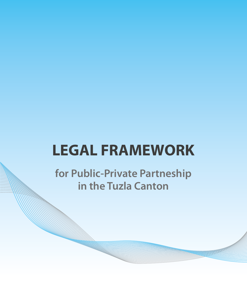# **LEGAL FRAMEWORK**

**for Public-Private Partneship in the Tuzla Canton**

a.<br>Manazarta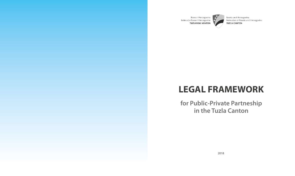

Bosna i Hercegovina Federacija Bosne i Hercegovine **TUZLANSKI KANTON** 

# $\overrightarrow{x}$

Bosnia and Herzegovina Federation of Bosnia and Herzegovina **TUZLA CANTON** 

# **LEGAL FRAMEWORK for Public-Private Partneship in the Tuzla Canton**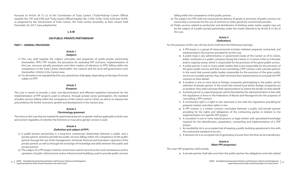- falling within the competence of the public partner.
- (3) The subject of a PPP shall not exclusively be delivery of goods or provision of public services nor exclusively a concession for the use of common or other goods for commercial activities.
- (4) Public services related to production and distribution of drinking water (water supply) may not be the subject of a public-private partnership under the model referred to by Article 8 (1) (b) of this Law.

# **Article 5 (Definitions)**

For the purposes of this Law, the key terms shall have the following meanings:

- a) A *PPP project* is a group of interconnected activities initiated, prepared, contracted, and implemented in the manner provided for by this Law.
- b) A *public body* is any administrative or government body of the Canton or of its LSGUs, public institution or a public company having the Canton or a Canton LSGU as it founder and/or majority owner, which is responsible for the provision of the given public service.
- c) A *public partner* is one or more public bodies that is/are responsible for the provision of the given public service and that is/are concluding a PPP contract with a private partner. In the event that several public bodies responsible for the provision of the given public service act as public partner, they shall nominate their representative to conclude the PPP contract on their behalf.
- selection of private partner. In the event that several local and/or foreign companies act as tenderer, they shall nominate their representative to submit the tender on their behalf. the regulations in force in the Federation of Bosnia and Herzegovina for the purposes of
- d) A *tenderer* is one or more local or foreign companies participating in the public call for e) A *private partner* is a special purpose vehicle founded by the selected tenderer in line with concluding a PPP contract.
- f) A *construction right* is a right in rem exercised in line with the regulations providing for property matters and other rights in rem.
- g) A *PPP contract* is a written contract concluded between a public and private partner providing for the rights and obligations of the contracting parties in relation to the implementation of a specific PPP project.
- h) A *consultant* is one or more natural persons or legal entities with specialised knowledge required for the identification, preparation, contracting and implementation of a PPP project.
- i) An *availability risk* is an accepted risk of keeping a public building operational in line with the contracted standard of service.
- j) A *demand risk* is an accepted risk of generating income from the final service beneficiary.

# **Article 6 (Main PPP properties)**

The main PPP properties shall include:

a) A private partner shall take over from the public partner the obligations and risks related

Pursuant to Article 24 (1) (c) of the Constitution of Tuzla Canton ("Tuzla-Podrinje Canton Official Gazette," No. 7/97 and 3/99, and "Tuzla Canton Official Gazette," No. 13/99, 10/00, 14/02, 6/04 and 10/04), as proposed by the Government of Tuzla Canton, the Tuzla Canton Assembly, at their session held December 29, 2017, have adopted the

# **L A W**

# **ON PUBLIC-PRIVATE PARTNERSHIP**

# **PART I – GENERAL PROVISIONS**

# **Article 1 (Subject)**

- (1) This Law shall regulate the subject, principles and properties of public-private partnership (hereinafter: PPP), PPP models, the procedure for awarding PPP contracts, implementation of this Law, recourse, penalty provisions and other matters of relevance to PPPs falling within the competence of the Tuzla Canton (hereinafter: the Canton) and the local self-government units (hereinafter: LSGUs) in the Canton area.
- (2) For all matters not regulated by this Law, special laws shall apply, depending on the type of service subject to PPP.

# **Article 2**

# **(Purpose)**

This Law is meant to provide a clear, non-discriminatory and effective legislative framework for the implementation of PPP projects used to enhance, through private sector participation, the standard of public services falling within the competence of the Canton and its LSGUs, as well as to improve the preconditions for further economic growth and development in the Canton area.

# **Article 3**

# **(Terminology grammar)**

The terms in this Law that are marked for grammatical person or gender shall be applicable to both men and women regardless of whether the feminine or masculine gender version is used.

# **Article 4 (Definition and subject of PPP)**

- (1) A public-private partnership is a long-term contractual relationship between a public and a private partner aimed to provide the public services falling within the competence of the public partner through the use of the management, technical, financial and innovation capacities of the private partner, as well as through the exchange of knowledge and skills between the public and private partner.
- (2) The subject of a PPP project shall be construction and/or reconstruction and maintenance and/or operation of public infrastructure and/or infrastructural buildings used to provide public services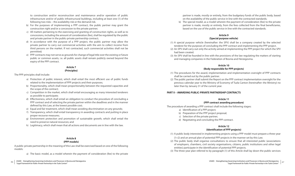to construction and/or reconstruction and maintenance and/or operation of public infrastructure and/or of public infrastructural buildings, including at least one (1) of the following two risks – the availability risk or the demand risk.

- b) For the purposes of implementing a PPP contract, the public partner may grant the construction right and/or a concession to the private partner;
- c) All matters pertaining to the exercising and granting of construction rights, as well as to concessions, including the amount of consideration (fee), shall be regulated by the public and private partner in the public-private partnership contract;
- d) In accordance with the purpose of a PPP project, the public partner may allow the private partner to carry out commercial activities with the aim to collect income from third persons on the market. If not contracted, such commercial activities shall not be permitted;
- e) PPP contracts may not serve as grounds for change of legal title over the existing or future public or common assets, i.e. all public assets shall remain publicly owned beyond the expiry of the PPP contract.

# **Article 7 (Principles)**

The PPP principles shall include:

- a) Protection of public interest, which shall entail the most efficient use of public funds related to the implementation of PPP projects and their purposes;
- b) Proportionality, which shall mean proportionality between the requested capacities and the scope of the contract;
- c) Competition in the market, which shall entail encouraging as many interested tenderers as possible to participate;
- d) Effectiveness, which shall entail an obligation to conduct the procedure of concluding a PPP contract and of selecting the private partner within the deadlines and in the manner defined by this Law, at the lowest possible cost;
- e) Equal and fair treatment, which shall mean avoiding discrimination on any grounds;
- f) Transparency, which shall entail transparency in awarding contracts and putting in place proper recourse measures;
- g) Environment protection and promotion of sustainable growth, which shall entail the need to preserve natural resources; and
- h) Legitimacy, which shall mean that all actions and documents are in line with the law.

# **Article 8 (PPP models)**

A public-private partnership in the meaning of this Law shall be exercised based on one of the following models:

a) The basic model, as a model wherein the payment of consideration (fee) to the private

partner is made, mostly or entirely, from the budgetary funds of the public body, based on the availability of the public service in line with the contracted standards;

b) The special model, as a model wherein the payment of consideration (fee) to the private partner is made, mostly or entirely, from the fees collected from the final beneficiaries,

based on the use of the public service in line with the contracted standards.

# **Article 9 (Special purpose vehicle)**

- (1) A special purpose vehicle (hereinafter: the SPV) shall be a company created by the selected tenderer for the purposes of concluding the PPP contract and implementing the PPP project.
- (2) An SPV shall carry out only the activity aimed at implementing the PPP project for which the SPV had been created.
- (3) An SPV shall be founded in line with the provisions of the law regulating the matters of starting and managing companies in the Federation of Bosnia and Herzegovina.

# **Article 10 (Body responsible for PPP projects)**

- (1) The procedures for the award, implementation and implementation oversight of PPP contracts shall be carried out by the public partner.
- (2) The public partner shall submit the Report on the PPP contract implementation oversight for the previous calendar year to the Ministry of Economy of Tuzla Canton (hereinafter: the Ministry) no later than by January 31 of the current year.

# **PART II – AWARDING PUBLIC-PRIVATE PARTNERSHIP CONTRACTS**

# **Article 11**

# **(PPP contract awarding procedure)**

The procedure of awarding a PPP contract shall include the following stages:

- a) Identification of a PPP project;
- b) Preparation of the PPP project proposal;
- c) Selection of the private partner;
- d) Negotiating and concluding the PPP contract.

# **Article 12 (Identification of PPP projects)**

- (1) A public body interested in implementing projects using a PPP model must prepare a three-year
- (1+2) and an annual plan of potential PPP projects in the manner set by this Law.
- (2) The public body shall organise consultations to ensure that all interested public (associations of employers, chambers, civil society organisations, citizens, public institutions and other legal entities) participate in the identification of potential PPP projects.
- (3) The three-year plan referred to by paragraph (1) of this Article shall lay down the public services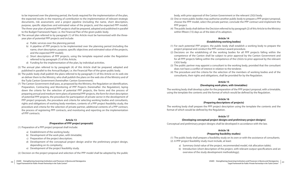to be improved over the planning period, the funds required for the implementation of the plan, the expected results in the meaning of contribution to the implementation of relevant strategic documents, risk assessment, and a project pipeline (including the name, short description, purpose, specific objectives and estimated value of the projects, and the expected PPP model). The three-year plan of potential PPP projects shall be prepared, adopted and published in parallel to the Budget Framework Paper, i.e. the Financial Plan of the given public body.

- (4) The annual plan referred to by paragraph (1) of this Article must be harmonised with the threeyear plan of potential PPP projects and include:
	- a) Public services over the planning period;
	- b) A pipeline of PPP projects to be implemented over the planning period (including the name, short description, purpose, specific objectives and estimated value of the projects, and the expected PPP model);
	- c) Short descriptions of PPP projects, using the template required under the Regulation referred to by paragraph (7) of this Article;
	- d) Funding for the implementation of the plan, by individual activities.
- (5) The annual plan referred to by paragraph (4) of this Article shall be prepared, adopted and published in parallel to the Annual Budget, i.e. the Financial Plan of the given public body.
- (6) The public body shall publish the plans referred to by paragraph (1) of this Article on its web site an deliver them to the Ministry, who shall publish the plans on the web site of the Ministry and of the Tuzla Canton Government (hereinafter: Canton Government).
- (7) The Canton Government shall pass, as proposed by the Ministry, the Regulation on Identification, Preparation, Contracting and Monitoring of PPP Projects (hereinafter: the Regulation), laying down the criteria for the selection of potential PPP projects, the forms and the process of preparing annual and medium-term plans of potential PPP projects, the form for short description of potential PPP projects, the procedure for participation of private sector in the development of PPP project proposals, the procedure and criteria for selecting working bodies and consultants, rights and obligations of working body members, contents of a PPP project feasibility study, the procedure and criteria for the selection of private partner, additional contents of a PPP contract, the process of registering PPP contracts, and monitoring and reporting on the implementation of PPP contracts.

# **Article 13 (Preparation of PPP project proposals)**

(1) Preparation of a PPP project proposal shall include:

- a) Establishment of the working body;
- b) Development of the work plan, with timetable;
- c) Preparation of the project description;
- d) Development of the conceptual project design and/or the preliminary project design, depending on its complexity;
- e) Development of the project feasibility study.

(2) Decision on the project proposal and selection of the PPP model shall be adopted by the public

body, with prior approval of the Canton Government or the relevant LSGU body.

(3) One or more public bodies may authorise another public body to prepare a PPP project proposal,

- choose the PPP model, select the private partner, conclude the PPP contract and implement the PPP project.
- (4) The public body shall deliver the Decision referred to by paragraph (2) of this Article to the Ministry within fifteen (15) days as of the date of its adoption.

# **Article 14 (Establishing working bodies)**

- (1) For each potential PPP project, the public body shall establish a working body to prepare the project proposal and conduct the PPP contract award procedure.
- (2) Decisions on the establishing of the working bodies for all PPP projects falling within the competence of the Canton shall be subject to prior approval by the Canton Government and for all PPP projects falling within the competence of the LSGUs to prior approval by the relevant LSGU body.
- (3) The public partner may appoint a consultant to the working body, provided that the consultant does not have a conflict of interest in relation to the tenderer.
- (4) The procedure and the criteria for the selection of the members of working bodies and of the consultants, their rights and obligations, shall be provided for by the Regulation.

# **Article 15 (Developing work plans, with timetables)**

The working body shall develop a plan for the preparation of the PPP project proposal, with a timetable, using the template the contents and the format of which would be defined by the Regulation.

# **Article 16 (Preparing descriptions of projects)**

The working body shall prepare the PPP project description using the template the contents and the format of which would be defined by the Regulation.

# **Article 17 (Developing conceptual project designs and preliminary project designs)**

Conceptual and preliminary project designs shall be developed in accordance with the law.

# **Article 18 (Preparing feasibility studies)**

(1) The public body shall prepare a feasibility study on its own or with the assistance of consultants. (2) A PPP project feasibility study must include, at least:

- a) Summary (total value of the project, recommended model, risk allocation table);
- b) Introduction (short description of the project, with relevant output specifications and an overview of the study development methodology);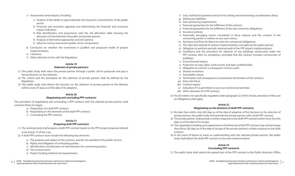- c) Assessments and analyses, including:
	- 1) Analysis of the ability to pay/undertake the long-term commitments of the public sector;
	- 2) Financial and economic appraisal and determining the financial and economic impact indicators;
	- 3) Risk identification and assessment, with the risk allocation table showing the allocation of risks between the public and private partner;
	- 4) Analysis of alternative approaches and exit options;
	- 5) Value for money assessment (public sector comparator);
- d) Conclusion on whether the investment is justified and proposed model of project implementation;
- e) Literature;
- f) Other elements in line with the Regulation.

# **Article 19**

# **(Selection of private partners)**

- (2) A draft PPP contract must include the following key elements:
	- a) The purpose and subject of the contract, and the set standard of the public service;
	- b) Rights and obligation of contracting parties;
	- c) Identification and allocation of risks between the contracting parties;
	- d) The contract term;
	- e) Project funding method and requirements;
- *"Legal Framework for Public-Private Partneship in the Tuzla Canton"*
- (1) The public body shall select the private partner through a public call for proposals and pass a formal decision on the selection.
- (2) The criteria and the procedure for the selection of private partner shall be defined by the Regulation.
- (3) The public body shall deliver the Decision on the selection of private partner to the Ministry within seven (7) days as of the date of its adoption.

# **Article 20**

# **(Negotiating and concluding PPP contracts)**

The procedure of negotiating and concluding a PPP contract with the selected private partner shall comprise three (3) stages:

- a) Preparation of a draft PPP contract;
- b) Negotiating on the elements of the draft PPP contract;
- c) Concluding the PPP contract.

# **Article 21 (Preparing draft PPP contracts)**

(1) The working body shall prepare a draft PPP contract based on the PPP project proposal referred

to by Article 13 of this Law.

f) Cost, method of payment and terms for setting and harmonising considerations (fees);

l) Potentially damaging events considered as force majeure and the conduct of the

p) Conditions and the procedure for takeover of any buildings constructed under the

- 
- g) Settling tax liabilities;
- h) Sub-contracting requirements;
- i) Financial guarantees for the fulfilment of the contract;
- j) Financial guarantees for the fulfilment of the sub-contractor obligations;
- k) Insurance policies;
- contracting parties in relation to any such events;
- m) Sanctions and fines for failure to meet the contractual obligations;
- n) The right and method of contract implementation oversight by the public partner;
- o) Obligation to perform periodic external audit of the PPP project implementation;
- buildings;
- r) Environmental impact;
- s) Protection of copy rights, trade secrets and data confidentiality;
- t) Obligation to contract a subsequent contract audit;
- u) Dispute resolution;
- v) Severability clause;
- z) Termination and consequences of premature termination of the contract:
- aa) Entry into force;
- bb) Contract expiry;
- cc) Indication if it is permitted to carry out commercial activities;
- dd) Other elements of a PPP contract.
- (3) For all matters not specifically regulated under paragraph (2) of this Article, provisions of the Law on Obligations shall apply.

PPP contract after its completion, provided that the contract includes construction of

# **Article 22**

# **(Negotiating on the elements of draft PPP contracts)**

- (1) No later than within sixty (60) days as of the date of adoption of the Decision on the selection of private partner, the public body shall provide the private partner with a draft PPP contract.
- (2) The private partner shall provide a written response to the draft PPP contract within forty-five (45) days as of the date of its receipt.
- (3) The negotiations leading up to agreement on the final text of the PPP contract may not last longer than thirty (30) days as of the date of receipt of the private partner's written response to the draft contract.
- (4) In the event of failure to reach an understanding with the selected private partner, the public body shall deliver the draft PPP contract to the next-ranked tenderer.

# **Article 23 (Concluding PPP contracts)**

(1) The public body shall submit the agreed text of the PPP contract to the Public Attorney's Office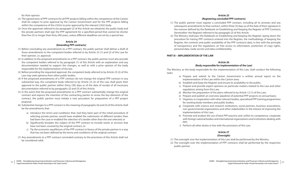for their opinion.

- (2) The agreed texts of PPP contracts for all PPP projects falling within the competence of the Canton shall be subject to prior approval by the Canton Government and for the PPP projects falling within the competence of the LSGUs to prior approval by the relevant LSGU body.
- (3) Once the approvals referred to by paragraph (2) of this Article are obtained, the public body and the private partners shall sign the PPP agreement for a specified period that cannot be shorter than five (5) or longer than forty (40) years, unless different deadlines are set by a special law.

# **Article 24 (Amending PPP contracts)**

- (1) Before concluding any amendments to a PPP contract, the public partner shall deliver a draft of those amendments to the competent bodies referred to by Article 23 (1) and (2) of this Law for their opinion, i.e. approval.
- (2) In addition to the proposed amendments to a PPP contract, the public partner must also provide the competent bodies referred to by paragraph (1) of this Article with an explanation and any documentation needed to support the changes, as well as with a prior opinion of the body responsible for the implementation of the law.
- (3) Before providing the requested approval, the competent body referred to by Article 23 (2) of this Law may seek opinions from other public bodies.
- (4) If the proposed amendments of a PPP contract do not change the original PPP contract in any substantial way, the competent body referred to by Article 23 (2) of this Law shall grant their approval to the public partner within thirty (30) days as of the date of receipt of all necessary documentation referred to by paragraphs (2) and (3) of this Article.
- (5) In the event that the proposed amendments to a PPP contract substantially change the original contract and express the intention of the contracting parties to revise the key elements of the contract, the public partner must initiate a new procedure for preparation of a PPP project proposal.
- (6) Substantial changes to a PPP contract in the meaning of paragraphs (4) and (5) of this Article shall be the amendments that:
	- a) Introduce the terms and conditions that, had they been part of the initial procedure of selecting private partner, would have enabled the submission of different tenders than had been the case or enabled the selection of a tender other than the one selected; or
	- b) Significantly broaden the subject of the PPP contract to include works or services that have not been covered by the original contract; or
	- c) Tip the economic equilibrium of the PPP contract in favour of the private partner in a way that has not been defined by the terms and conditions of the original contract.
- (7) Any amendments to a PPP contract concluded contrary to the provisions of this Article shall not be considered valid.

h) Promote and analyse the use of best PPP practice and, within its competence, cooperate with foreign national bodies and international organisations and institutions dealing with

- (1) The public partner must register a concluded PPP contract, including all its annexes and any subsequent amendments to that contract, within three (3) days as of the date of their signature in the manner defined by the Rulebook on Establishing and Keeping the Register of PPP Contracts (hereinafter: the Register) referred to by paragraph (2) of this Article.
- (2) The Ministry shall pass the Rulebook on Establishing and Keeping the Register, laying down the procedure for having PPP contracts entered into the Register, the methodology of keeping the Register, the contents and public availability of the PPP contracts data, in line with the principle of transparency and the regulations on free access to information, protection of copy rights, personal data, trade secrets and data confidentiality.

# **PART III – IMPLEMENTATION OF THE LAW**

# **Article 26 (Body responsible for implementation of the Law)**

The Ministry, as the body responsible for the implementation of this Law, shall conduct the following tasks:

- a) Prepare and submit to the Canton Government a written annual report on the implementation of the Law within the Canton area;
- b) Establish and keep the Register and ensure its availability to the public;
- c) Prepare and provide expert opinions on particular matters related to this Law and other regulations arising from this Law;
- d) Monitor the preparation of the plans referred to by Article 12 (1) of this Law;
- e) Prepare and publish an overview (pipeline) of potential PPP projects on annual basis;
- f) Organise, in cooperation with other relevant bodies, specialised PPP training programmes for working body members and public bodies;
- g) Cooperate with science and research institutions, social partners, business associations, non-governmental organisations and other stakeholders in the interest of improving the implementation of this Law;
- PPP;
- i) Perform all other duties in line with the provisions of this Law.

# **Article 27 (Oversight)**

- (1) The oversight over the implementation of this Law shall be performed by the Ministry.
- (2) The oversight over the implementation of PPP contracts shall be performed by the respective public partner.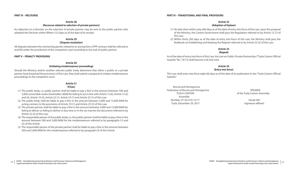# **Article 28 (Recourse related to selection of private partners)**

An objection to a Decision on the selection of private partner may be sent to the public partner who adopted the Decision within fifteen (15) days as of the date of its receipt.

# **Article 29**

# **(Dispute resolution)**

All disputes between the contracting parties related to or arising from a PPP contract shall be referred to and fall under the jurisdiction of the competent court according to the seat of public partner.

# **PART V – PENALTY PROVISIONS**

# **Article 30 (Initiating misdemeanour proceeding)**

Should the Ministry and/or another relevant public body determine that either a public or a private partner have breached the provisions of this Law, they shall submit a proposal to initiate misdemeanour proceedings to the competent court.

# **Article 31**

# **(Fines)**

# Bosnia and Herzegovina Federation of Bosnia and Herzegovina SPEAKER TUZLA CANTON **CONTROLLA CANTON of the Tuzla Canton Assembly**  Assembly Number: 01-02-419-15/17 Senad Alić Tuzla, December 29, 2017 *COVERSING ACCES* 1 *COVERSING* / *Signature affixed/*

- (1) The public body, i.e. public partner shall be liable to pay a fine in the amount between 500 and 5,000 convertible marks (hereinafter: BAM) for failing to act in line with Article 12 (6), Article 13 (2) and (4), Article 19 (3), Article 22 (1), Article 23 (1) and Article 25 (1) of this Law.
- (2) The public body shall be liable to pay a fine in the amount between 5,000 and 15,000 BAM for acting contrary to the provisions of Article 19 (1) and Article 23 (3) of this Law.
- (3) The private partner shall be liable to pay a fine in the amount between 5,000 and 15,000 BAM for failing to deliver or failing to deliver in due time or in the set manner the document referred to by Article 22 (2) of this Law.
- (4) The responsible person of the public body, i.e. the public partner shall be liable to pay a fine in the amount between 500 and 3,000 BAM for the misdemeanours referred to by paragraphs (1) and (2) of this Article.
- (5) The responsible person of the private partner shall be liable to pay a fine in the amount between 500 and 3,000 BAM for the misdemeanour referred to by paragraph (3) of this Article.

# **PART VI – TRANSITIONAL AND FINAL PROVISIONS**

# **Article 32 (Adoption of bylaws)**

- (1) No later than within sixty (60) days as of the date of entry into force of this Law, upon the proposal of the Ministry, the Canton Government shall pass the Regulation referred to by Article 12 (7) of this Law.
- (2) Within thirty (30) days as of the date of entry into force of this Law, the Ministry shall pass the Rulebook on Establishing and Keeping the Register referred to by Article 25 (2) of this Law.

# **Article 33 (Repeal)**

As of the date of entry into force of this Law, the Law on Public-Private Partnership ("Tuzla Canton Official Gazette," No. 14/12) shall become null and void.

# **Article 34 (Entry into force)**

This Law shall enter into force eight (8) days as of the date of its publication in the "Tuzla Canton Official Gazette."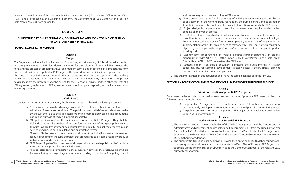Pursuant to Article 12 (7) of the Law on Public-Private Partnerships ("Tuzla Canton Official Gazette," No. 19/17) and as proposed by the Ministry of Economy, the Government of Tuzla Canton, at their session held March 27, 2018, have passed the

# **R E G U L A T I O N**

# **ON IDENTIFICATION, PREPARATION, CONTRACTING AND MONITORING OF PUBLIC-PRIVATE PARTNERSHIP PROJECTS**

**SECTION I – GENERAL PROVISIONS**

# **Article 1 (Subject)**

The Regulation on Identification, Preparation, Contracting and Monitoring of Public-Private Partnership Projects (hereinafter: the PPP) lays down the criteria for the selection of potential PPP projects, the form and the process of preparing annual and medium-term plans of potential PPP projects, the form for short description of potential PPP projects, the procedure for participation of private sector in the preparation of PPP project proposals, the procedure and the criteria for appointing the working bodies and consultants, rights and obligations of working body members, contents of a JPP project feasibility study, the procedure and the criteria for the selection of private partner, other contents of a PPP agreement, registration of PPP agreements, and monitoring and reporting on the implementation of PPP agreements.

# **Article 2 (Definitions)**

(1) For the purposes of this Regulation, the following terms shall have the following meanings:

- a) "The most economically advantageous tender" is the tender wherein other elements in addition to financial are considered. The public partner shall define and elaborate on the award sub-criteria and the sub-criteria weighting methodology, taking into account the nature and purpose of each PPP project separately;
- b) "Output specifications" are the main element of a potential PPP project. They shall be defined based on the analysis of at least four (4) features of the given public service (physical availability, affordability, adaptability, and quality) and set the expected public service standards in both qualitative and quantitative terms;
- c) "Research" is the research conducted to obtain specific technical information on a natural resource pending on the type of project that are required to prepare a feasibility study of public-private partnership for the project;
- d) "PPP Project Pipeline" is an overview of all projects included in the public bodies' mediumterm and annual plans of potential PPP projects;
- e) "Public sector costing comparator" is the comparison between the present value of whole life costs during the project agreement term according to traditional (budgetary) model

and the same type of costs according to PPP model;

f) "Short project description" is the summary of a PPP project concept prepared by the public partner, i.e. the working body founded by the public partner, and published on its web site to inform the public and the market of intentions to launch the PPP project; g) "Project design" is the preparation of technical documentation required under the law,

h) "Conflict of interest" is a situation in which a natural person or legal entity engaged as consultant is in a position to receive and/or receives material and/or nonmaterial gain from an interested tenderer, i.e. future private partner, at any stage of preparation and implementation of the PPP project, such as may affect his/her legal right, transparency, objectivity and impartiality to perform his/her functions within the public partner

- 
- pending on the type of project;
- working body;
- Official Gazette," No. 19/17, hereinafter: the PPP Law);
- documentation, capital investment plan, etc.

i) "Medium-Term Plan of Potential PPP Projects" is a three-year plan of potential PPP projects prepared in line with Article 12 (3) of the Law on Public-Private Partnerships ("Tuzla Canton

j) "Strategy paper" is an official document expressing the public interest. A strategy paper may be, for example, development strategy, sector strategy, spatial planning

(2) The other terms used in this Regulation shall have the same meanings as in the PPP Law.

# **SECTION II – IDENTIFICATION AND PREPARATION OF PUBLIC-PRIVATE PARTNERSHIP PROJECTS**

# **Article 3 (Criteria for selection of potential PPP projects)**

For a project to be included in the medium-term and annual plans of potential PPP projects at least the following criteria must be met:

> a) The potential PPP project concerns a public service which falls within the competence of the public body developing the medium-term and annual plan of potential PPP projects; b) The public service improvement the potential PPP project aims to achieve is provided for

- 
- under a valid strategy paper.

# **Article 4**

# **(Medium-Term Plan of Potential PPP Projects)**

- (1) The administrative and government bodies of the Tuzla Canton (hereinafter: the Canton) and the administrative and government bodies of local self-government units from the Tuzla Canton area (hereinafter: LSGUs) shall draft a proposal of the Medium-Term Plan of Potential PPP Projects and submit it to the Government of Tuzla Canton (hereinafter: Canton Government) or the relevant LSGU authority for adoption.
- (2) The public institutions and public companies having the Canton or an LSGU as their founder and/ or majority owner shall draft a proposal of the Medium-Term Plan of Potential PPP Projects and submit it, via the line ministry or an LSGU service, to the Canton Government or the relevant LSGU authority for adoption;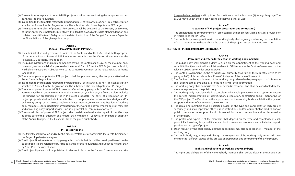- (3) The medium-term plans of potential PPP projects shall be prepared using the template attached as Annex 1 to this Regulation.
- (4) In addition to the template referred to by paragraph (3) of this Article, a Short Project Description attached as Annex 3 to this Regulation shall be submitted also for each potential PPP project.
- (5) The medium-term plans of potential PPP projects shall be delivered to the Ministry of Economy of Tuzla Canton (hereinafter: the Ministry) within ten (10) days as of the date of their adoption and no later than within ten (10) days as of the date of adoption of the Budget Framework Paper, i.e. the Financial Plan of the given public body.

# **Article 5 (Annual Plan of Potential PPP Projects)**

- (1) The administrative and government bodies of the Canton and of the LSGUs shall draft a proposal of the Annual Plan of Potential PPP Projects and submit it to the Canton Government or the relevant LSGU authority for adoption.
- (2) The public institutions and public companies having the Canton or an LSGU as their founder and/ or majority owner shall draft a proposal of the Annual Plan of Potential PPP Projects and submit it, via the line ministry or an LSGU service, to the Canton Government or the relevant LSGU authority for adoption;
- (3) The annual plans of potential PPP projects shall be prepared using the template attached as Annex 2 to this Regulation.
- (4) In addition to the template referred to by paragraph (3) of this Article, a Short Project Description attached as Annex 3 to this Regulation shall be submitted also for each potential PPP project.
- (5) The annual plans of potential PPP projects referred to by paragraph (3) of this Article shall be accompanied by an evidence confirming that the current year budget, i.e. financial plan, includes the funding for preparation of the PPP project proposals. The costs of preparation of PPP project proposals shall include, inter alia, the costs of preparation of conceptual design and/or preliminary design of the project and/or feasibility study and/or consultants fees, fees of working body members, specialised training/mentoring of the working body members, costs of materials and of working body support services, including translation, communications, etc.
- (6) The annual plans of potential PPP projects shall be delivered to the Ministry within ten (10) days as of the date of their adoption and no later than within ten (10) days as of the date of adoption of the Annual Budget, i.e. the Financial Plan of the given public body.

# **Article 6**

# **(PPP Project Pipeline)**

- (1) The Ministry shall develop and publish a pipeline/catalogue of potential PPP projects (hereinafter: the Project Pipeline) once a year.
- (2) The Project Pipeline referred to by paragraph (1) of this Article shall be developed based on the public bodies' plans referred to by Articles 4 and 5 of this Regulation and published no later than by April 15 of the current year.
- (3) The Project Pipeline shall be published in electronic form on the Canton Government web site

(http://vladatk.gov.ba/) and in printed form in Bosnian and at least one (1) foreign language. The LSGUs may publish the Project Pipeline on their web sites as well.

# **Article 7 (Sequence of PPP project preparation and contracting)**

- (1) The preparation and contracting of PPP projects shall be done in four (4) main stages provided for in Article 11 of the PPP Law.
- (2) The public body, in cooperation with the working body, shall regularly following the completion of each stage – inform the public on the course of PPP project preparation via its web site.

# **SECTION III – PUBLIC PARTNER WORKING BODY**

# **Article 8 (Procedure and criteria for selection of working body members)**

- (1) The public body shall prepare a draft Decision on the appointment of the working body and submit it directly or via the line ministry/relevant LSGU service to the Canton Government or the relevant LSGU authority for prior approval.
- (2) The Canton Government, i.e. the relevant LSGU authority shall rule on the request referred to by paragraph (1) of this Article within fifteen (15) days as of the date of its receipt.
- (3) The Decision on the appointment of the working body referred to by paragraph (1) of this Article shall be sent at the same time also to the Ministry for their information.
- (4) The working body shall comprise five (5) or seven (7) members and shall be coordinated by the member representing the public body.
- (5) The working body may also include a consultant who would provide technical support to ensure the correct implementation of identification, preparation, contracting and/or monitoring of the PPP project. The Decision on the appointment of the working body shall define the type of support and terms of reference of the consultant.
- (6) The remaining members shall be selected based on the type and complexity of each project separately and may represent other public institutions and/or administrative bodies and/or public companies the support of which is needed for smooth preparation and implementation of the project.
- (7) The profile and expertise of the members shall depend on the type and complexity of each project. Each working body shall include at least a lawyer, an economist and a technical expert, pending on the type of project.
- (8) Upon request by the public body, another public body may also suggest one (1) member of the working body.
- (9) The public body may, as required, change the composition of the working body and/or add new members for different stages of the process of preparation and contracting of the PPP project.

# **Article 9**

# **(Rights and obligations of working body members)**

(1) The rights and obligations of the working body members shall be laid down in the Decision on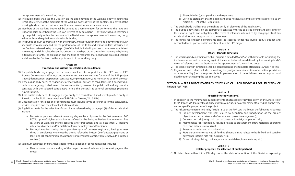the appointment of the working body.

- (2) The public body shall use the Decision on the appointment of the working body to define the terms of reference of the members of the working body, as well as the context, objectives of the working body, expected outputs, deadlines and any other necessary elements.
- (3) Members of the working body shall be entitled to a remuneration for performing the tasks and responsibilities described in the Decision referred to by paragraph (1) of this Article, as determined by the public body within the proposal of the Decision on the appointment of the working body, in line with valid regulations and available funding.
- (4) The public body, in coordination with the Ministry, must provide the working body members with adequate resources needed for the performance of the tasks and responsibilities described in the Decision referred to by paragraph (1) of this Article, including access to adequate specialised knowledge and skills related to public-private partnerships, either through insourcing or by hiring external consultants. The obligation and the type of resources that need to be provided shall be laid down by the Decision on the appointment of the working body.

# **Article 10**

# **(Procedure and criteria for selection of consultants)**

- (1) The public body may engage one or more consultants to support the entire PPP process (PPP Process Consultant) and/or legal, economic or technical consultants for any of the PPP project stages (identification, preparation, contracting, implementation, and monitoring of a PPP project).
- (2) If the public body needs to engage one or more natural persons as consultants, be it on individual basis or as a group, it shall select the consultant/s by means of a public call and sign service contracts with the selected candidate/s, hiring the person/s as external associates providing expert support.
- (3) If the public body needs to engage a legal entity as a consultant, it shall select qualified entity in line with the Public Procurement Law ("BiH Official Gazette," No. 39/14).
- (4) Documentation for selection of consultants must include terms of reference for the consultancy services required and the relevant selection criteria.
- (5) Eligibility criteria for the selection of consultants referred to by paragraph (1) of this Article shall include:
	- a) For natural persons: relevant university degree, i.e. a diploma for the first (minimum 240 ECTS), cycle of higher education as defined in the Bologna Declaration; minimum five (5) years of work experience acquired after graduation; and at least three (3) positive references (written and/or oral) from former employers and/or clients;
	- b) For legal entities: having the appropriate type of business registered; having at least three (3) employees who meet the criteria referred to by item (a) of this paragraph; and at least one (1) confirmation of a properly implemented contract (preferably, a PPP-related contract).
- (6) Minimum technical and financial criteria for the selection of consultants shall include:
	- a) Demonstrated understanding of the project terms of reference (on one A4 page at the most);

c) Certified statement that the applicant does not have a conflict of interest referred to by

- b) Financial offer (gross per diem and expenses);
- Article 2 (1) (h) of this Regulation.
- (7) The public body shall reserve the right to verify all elements of the application.
- (8) The public body shall sign an appropriate contract with the selected consultant providing for their mutual rights and obligations. The terms of reference referred to by paragraph (4) of this Article shall form an integral part of the contract.
- accounted for as part of public investment into the PPP project.

(9) The funds for engaging consultants shall be secured under the public body's budget and

# **Article 11 (Work Plan with Timetable)**

- (1) The working body, on their own, shall prepare a detailed Work Plan with Timetable facilitating the implementation and monitoring against the expected results as defined by the working body's terms of reference and the Decision on the appointment of the working body.
- (2) The Work Plan with Timetable shall be prepared using the template attached as Annex 4 to this
- (3) Regulation and it shall include the working body objectives, description of activities, provisions on accountability (person responsible for implementation of the activities), needed support and deadlines for achieving the set objectives.

# **SECTION IV – PPP PROJECT FEASIBILITY STUDY AND CALL FOR PROPOSALS FOR SELECTION OF PRIVATE PARTNER**

# **Article 12 (Feasibility study contents)**

a) Project development risk (risks related to definition and specification of the project

- (1) In addition to the minimum required contents of a feasibility study laid down by the Article 18 of the PPP Law, a PPP project feasibility study may include also other elements, pending on the type and/or specific properties of the project.
- (2) The risk assessment referred to by Article 18 (2) of the PPP Law shall cover the following risk areas:
	- objective, expected standard of service, and project management);
	- b) Construction risk (design risk, cost of construction risk, completion risk);
	- costs and administrative risks);
	- d) Revenue risk (demand risk, price risk);
	- payments, interest rate risk, currency risk);
	- f) Other risks (regulatory, political, environmental risks, force majeure, etc.).

c) Maintenance risk (technology risk, risks related to procurement of raw materials, operating

e) Risks pertaining to sources of funding (financial risks related to both fixed and variable

# **Article 13**

# **(Call for proposals for selection of public partner)**

(1) No later than within thirty (30) days as of the date of adoption of the Decision expressing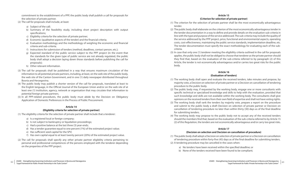commitment to the establishment of a PPP, the public body shall publish a call for proposals for the selection of private partner.

- (2) The call for proposals shall include, at least:
	- a) Subject of the call;
	- b) Summary of the feasibility study, including short project description with output specifications;
	- c) Eligibility criteria for the selection of private partner;
	- d) Economic (qualitative aspects of the tender) and the financial criteria;
	- e) Evaluation methodology and the methodology of weighing the economic and financial criteria and sub-criteria;
	- f) Instructions for submission of tenders (method, deadlines, contact person, etc.);
	- g) Expected standard of the public service subject to the PPP project (in the event that the standards for the given type of public service are not already regulated, the public body shall adopt a decision laying down those standards before publishing the call for proposals);
	- h) Other relevant information.
- (3) The call for proposals shall be published in a way that ensures maximum circulation of the information to all potential private partners, including, at least, on the web site of the public body, the web site of the Canton Government, and in one (1) daily newspaper distributed throughout Bosnia and Herzegovina.
- (4) The public body may publish a shorter version of the call for proposals, translated at least to the English language, in the Official Journal of the European Union and/or on the web site of at least one (1) institution, agency, network or organisation that may circulate that information to potential foreign private partners.
- (5) In all PPP-related procedures, the public body must abide by the Decision on Obligatory Application of Domestic Preferences in the Process of Public Procurement.

- a) Is a registered local or foreign company;
- b) Is not subject to bankruptcy or liquidation proceedings;
- c) Had a positive balance at the last three (3) year-ends;
- d) Has a tender guarantee equal to one percent (1%) of the estimated project value;
- e) Has sufficient seed capital for the SPV;
- f) Has own capital equal to at least twenty percent (20%) of the estimated project value.
- (2) The call for proposals shall specify any other private partner eligibility criteria pertaining to personal and professional competences of the persons employed with the tenderer depending on the properties of the PPP project.

# **Article 14**

# **(Eligibility criteria for selection of private partner)**

(1) The eligibility criteria for the selection of private partner shall include that a tenderer:

# **Article 15 (Criterion for selection of private partner)**

- (1) The criterion for the selection of private partner shall be the most economically advantageous tender.
- (2) The public body shall elaborate on the criterion of the most economically advantageous tender in the tender documentation in a way to define and provide details on the evaluation sub-criteria in line with the type and purpose of the service addressed. The sub-criteria may include the quality of the service addressed by the PPP project, price, functional and environmental aspects, operating costs, cost-effectiveness, maintaining the public service standards, implementation deadline, etc. The tender documentation must specify the exact methodology for evaluating each of the subcriteria.
- (3) In case that only one (1) tenderer meeting the eligibility criteria outlined in the call for proposals applies, the public body shall not be obliged to choose that tenderer as the private partner should they find that, based on the evaluation of the sub-criteria referred to by paragraph (2) of this Article, the tender is not economically advantageous and/or carries too great risks for the public body.

# **Article 16 (Evaluation of tenders)**

- (1) The working body shall open and evaluate the received tenders, take minutes and propose, by majority vote, a Decision on selection of private partner or a Decision on cancellation of tendering procedure to the public body.
- (2) The public body may, if requested by the working body, engage one or more consultants with specific technical or specialised knowledge and skills to help with the evaluation, provided that such knowledge and skills are not available within the working body. The consultants shall give opinions on the received tenders from their own field of expertise and shall not have voting rights.
- (3) The working body shall rank the tenders by majority vote, prepare a report on the procedure and submit to the public body a draft Decision on selection of private partner or Decision on cancellation of tendering procedure no later than within thirty (30) days as of the final deadline for submitting tenders.
- (4) The working body may propose to the public body not to accept any of the received tenders should the members find that, based on the evaluation of the sub-criteria referred to by Article 15 (2) of this Regulation, the tenders are not economically advantageous and/or carry too great risks.

# **Article 17**

# **(Decision on selection and Decision on cancellation of procedure)**

of tendering procedure within forty-five (45) days as of the final deadline for submitting tenders.

- (1) The public body shall adopt a Decision on selection of private partner or a Decision on cancellation
- (2) A tendering procedure may be cancelled in the cases when:
	- a) No tenders have been received within the specified deadline; or
	- b) None of the tenders received have been found to be compliant;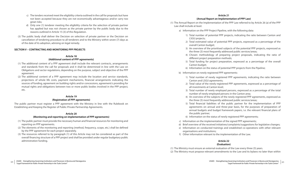- (1) The Annual Report on the Implementation of the PPP Law referred to by Article 26 (a) of the PPP Law shall include at least:
	- a) Information on the PPP Project Pipeline, with the following data:
		- 1) Total number of potential PPP projects, indicating the ratio between Canton and LSGU projects;
		- 2) Total estimated value of potential PPP projects, expressed as a percentage of the overall Canton budget;
		- 3) An overview of the prioritised subjects of the potential PPP projects, expressed as the three (3) most frequently addressed public services/areas;
		- 4) Chosen methodology of preparing project proposals, indicating the ratio of different project preparation methods;
		- 5) Total funding for project preparation, expressed as a percentage of the overall Canton budget;
		- 6) Information on the status of potential PPP projects from the Pipeline;
	- b) Information on newly registered PPP agreements:
		- 1) Total number of newly registered PPP agreements, indicating the ratio between Canton and LSGU agreements;
		- 2) Total value of the newly registered PPP agreements, expressed as a percentage of all investments at Canton level;
		- 3) Total number of newly employed persons, expressed as a percentage of the total number of newly employed persons in the Canton area;
		- 4) An overview of the subjects of the newly registered PPP agreements, expressed as the three (3) most frequently addressed public services/areas;
		- 5) Total financial liabilities of the public partner for the implementation of PPP agreements on annual and three-year basis, for the purposes of preparation of annual budgets and budget framework papers, i.e. the relevant financial plans of the public partner;
		- 6) Information on the status of newly registered PPP agreements;
	- c) Information on the implementation of the signed PPP agreements;
	- d) Brief overview of the received initiatives/complaints/suggestions for legislative changes;
	- e) Information on conducted trainings and established co-operations with other relevant organisations and institutions;
	- f) Other information relevant to the implementation of the Law.

# **Article 22 (Evaluation)**

(1) The Ministry must ensure an external evaluation of the Law every three (3) years. (2) The Ministry must propose relevant amendments to the Law and its bylaws no later than within

- c) The tenders received meet the eligibility criteria outlined in the call for proposals but have not been accepted because they are not economically advantageous and/or carry too great risks;
- d) Only one (1) tenderer meeting the eligibility criteria for the selection of private partner has applied but was not chosen as the private partner by the public body due to the reasons outlined in Article 15 (3) of this Regulation.
- (3) The public body shall deliver the Decision on selection of private partner or the Decision on cancellation of tendering procedure to all tenderers and to the Ministry within seven (7) days as of the date of its adoption, advising on legal remedy.

# **SECTION V – CONTRACTING AND MONITORING PPP PROJECTS**

# **Article 18 (Additional content of PPP agreements)**

- (1) The additional content of a PPP agreement shall include the relevant contracts, arrangements and standards from the call for proposals and it shall be determined in line with the Law on Obligations and sector regulations, depending on the purpose, subject and objective of the PPP agreement.
- (2) The additional content of a PPP agreement may include the location and service standards, projections of whole life costs, payment mechanisms, financial arrangements indicating the sources of funding, agreement on building rights and/or concessions, agreement/s providing for mutual rights and obligations between two or more public bodies involved in the PPP project, etc.

# **Article 19 (Registration of PPP agreements)**

The public partner must register a PPP agreement with the Ministry in line with the Rulebook on Establishing and Keeping the Register of Public-Private Partnership Agreements.

# **Article 20**

# **(Monitoring and reporting on implementation of PPP agreements)**

- (1) The public partner must provide the necessary human and financial resources for monitoring and reporting on PPP agreements.
- (2) The elements of the monitoring and reporting (method, frequency, scope, etc.) shall be defined by the PPP agreement for each project separately.
- (3) The resources referred to by paragraph (1) of this Article may not be considered as part of the overall financing structure of a PPP project and shall be provided under regular budgetary public administration funding.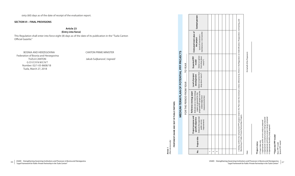66 USAID - Strengthening Governing Institutions and Processes in Bosnia and Herzegovina<br>
— "Les USAID - Strengthening Governing Institutions and Processes in Bosnia and Herzegovina and Herzegovina by the Transformation of *"Legal Framework for Public-Private Partneship in the Tuzla Canton"*

USAID - Strengthening Governing Institutions and Processes in Bosnia and Herzegovina *"Legal Framework for Public-Private Partneship in the Tuzla Canton"*

sixty (60) days as of the date of receipt of the evaluation report.

# **SECTION VI – FINAL PROVISIONS**

# **Article 23 (Entry into force)**

This Regulation shall enter into force eight (8) days as of the date of its publication in the "Tuzla Canton Official Gazette."

> **model**<br>ectan op-d<br>ndrop-d<br>menu\*\*) (Select an option from drop-down

> > 1.  $\overline{N}$  $\ddot{ }$

BOSNIA AND HERZEGOVINA CANTON PRIME MINISTER Federation of Bosnia and Herzegovina TUZLA CANTON Jakub Suljkanović /signed/ **GOVERNMENT**  Number: 02/1-05-8608/18 Tuzla, March 27, 2018

MEDIUM-TERM PLAN OF POTENTIAL PPP PROJECTS PROPONENT (NAME AND SEAT OF PUBLIC PARTNER): **PROPONENT (NAME AND SEAT OF PUBLIC PARTNER):**

**No. Project title**

 $\mathring{\mathsf{z}}$ 

Project title

**Project purpose and<br>specific objective**<br>(Indicate the expected<br>public service<br>improvement)

**Project purpose and specific objective**  (Indicate the expected public service improvement)

**Reference strategy paper**  (Indicate one or more strategy papers as grounds for the proposed PPP project and the related objectives/ measures/activities)

**Level of project development**  (Select an option from drop-down menu\*)

Level of project<br>development<br>(Select an option from<br>drop-down menu\*)

**Reference strategy paper**<br>(Indicate one or more strategy<br>papers as grounds for the<br>proposed PP project and the<br>related objectives/<br>related objectives/

**Expected PPP** 

**Estimated total value of the project** (costs of investment + maintenance + risk transfer)

Estimated total value of<br>the project<br>costs of investment +<br>maintenance + risk transfer)

**Contact person**

**Contact** 

persor

**MEDIUM-TERM PLAN OF POTENTIAL PPP PROJECTS**

*(filled electronically)*

**FOR THE PERIOD FROM YEAR \_\_\_\_\_\_ TO YEAR\_\_\_\_\_\_\_**

FOR THE PERIOD FROM YEAR

TO YEAR

ally) **Annex 1**<br>(filled electi

| Monitoring of Public-Private Partnerships Projects.                                                     |  |                             | I, hereby, confirm that all potential PPP projects listed in this Plan meet the minimum criteria referred to by Article 3 the Regulation on Indentification, Preaparation, Contracting, and |  |
|---------------------------------------------------------------------------------------------------------|--|-----------------------------|---------------------------------------------------------------------------------------------------------------------------------------------------------------------------------------------|--|
| Date:                                                                                                   |  | On behalf of the Proponent: |                                                                                                                                                                                             |  |
|                                                                                                         |  |                             |                                                                                                                                                                                             |  |
| *Project status                                                                                         |  |                             |                                                                                                                                                                                             |  |
| 1. Appropriate public service analysis prepared<br>0. Project idea only                                 |  |                             |                                                                                                                                                                                             |  |
| 3. Appropriate preliminary project design prepared<br>2. Appropriate conceptual project design prepared |  |                             |                                                                                                                                                                                             |  |
| 4. Appropriate feasibility study prepared                                                               |  |                             |                                                                                                                                                                                             |  |
| **Expected PPP model                                                                                    |  |                             |                                                                                                                                                                                             |  |
| Special PPP model<br>Basic PPP model                                                                    |  |                             |                                                                                                                                                                                             |  |
|                                                                                                         |  |                             |                                                                                                                                                                                             |  |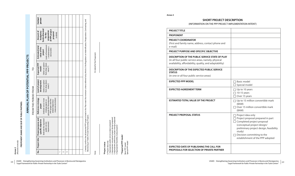# ANNUAL PLAN OF POTENTIAL PPP PROJECTS  **ANNUAL PLAN OF POTENTIAL PPP PROJECTS**

PROPONENT (NAME AND SEAT OF PUBLIC PARTNER): **PROPONENT (NAME AND SEAT OF PUBLIC PARTNER):**

On behalf of the Proponent: Date: On behalf of the Proponent:

Project status

**Annex 2** *(filled electronically)*

cally)

| )<br>í         |  |
|----------------|--|
| É              |  |
| j<br>$20 - 10$ |  |
| ໍ່             |  |

 $\overline{P}$ 

2. Appropriate conceptual project design prepared ă e analy<br>roject

3. Appropriate preliminary project design prepared ίā ect idea only<br>ropriate public ser<br>ropriate conceptua<br>ropriate preliminar<br>ropriate feasibility

4. Appropriate feasibility study prepared study sibility s

# **\*\*Expected PPP model** Expected PPP mode

asic PPP model<br>pecial PPP model Special PPP model Basic PPP model

| Contact<br>person                                                                                                                                                            |    |   |  |  |                                                                                                                                                                                            |
|------------------------------------------------------------------------------------------------------------------------------------------------------------------------------|----|---|--|--|--------------------------------------------------------------------------------------------------------------------------------------------------------------------------------------------|
| funds allocated<br>of PPP project<br>preparation<br>Amount of<br>budgetary<br>proposal<br>(in BAM)<br>for the                                                                |    |   |  |  |                                                                                                                                                                                            |
| (costs of investment<br><b>Estimated total</b><br>+ maintenance +<br>value of the<br>risk transfer)<br>project                                                               |    |   |  |  |                                                                                                                                                                                            |
| (Select an option<br>from drop-down<br>Expected PPP<br>menu <sup>**</sup> )<br>model                                                                                         |    |   |  |  |                                                                                                                                                                                            |
| Level of project<br>(Select an option<br>from drop-down<br>development<br>menu*)                                                                                             |    |   |  |  |                                                                                                                                                                                            |
| grounds for the proposed<br>measures/activities)<br>Reference strategy<br>(Indicate one or more<br>PPP project and the<br>strategy papers as<br>related objectives/<br>paper |    |   |  |  | , hereby, confirm that all potential PPP projects listed in this Plan meet the minimum criteria referred to by Article 3 the Regulation on Indentification, Preaparation, Contracting, and |
| purpose and<br>(Indicate the expected<br>specific objective<br>public service<br>improvement)<br>Project                                                                     |    |   |  |  | Monitoring of Public-Private Partnerships Projects.                                                                                                                                        |
| Project title                                                                                                                                                                |    |   |  |  |                                                                                                                                                                                            |
| $\frac{1}{2}$                                                                                                                                                                | 2. | m |  |  |                                                                                                                                                                                            |

Date:

**\*Project status**

0. Project idea only

1. Appropriate public service analysis prepared

| <b>PROJECT TITLE</b>                                                                                                                                              |                                                                                                                                                                                           |
|-------------------------------------------------------------------------------------------------------------------------------------------------------------------|-------------------------------------------------------------------------------------------------------------------------------------------------------------------------------------------|
| <b>PROPONENT</b>                                                                                                                                                  |                                                                                                                                                                                           |
| <b>PROJECT COORDINATOR</b><br>(First and family name, address, contact phone and<br>e-mail)                                                                       |                                                                                                                                                                                           |
| <b>PROJECT PURPOSE AND SPECIFIC OBJECTIVE</b>                                                                                                                     |                                                                                                                                                                                           |
| DESCRIPTION OF THE PUBLIC SERVICE STATE OF PLAY<br>(in all four public service areas, namely, physical<br>availability, affordability, quality, and adaptability) |                                                                                                                                                                                           |
| DESCRIPTION OF THE EXPECTED PUBLIC SERVICE<br><b>STATUS</b><br>(in one or all four public service areas)                                                          |                                                                                                                                                                                           |
| <b>EXPECTED PPP MODEL</b>                                                                                                                                         | $\Box$ Basic model<br>Special model                                                                                                                                                       |
| <b>EXPECTED AGREEMENT TERM</b>                                                                                                                                    | $\Box$ Up to 10 years<br>$\sqrt{10-15}$ years<br>Over 15 years                                                                                                                            |
| <b>ESTIMATED TOTAL VALUE OF THE PROJECT</b>                                                                                                                       | $\Box$ Up to 15 million convertible mark<br>(BAM)<br>$\Box$ Over 15 million convertible mark<br>(BAM)                                                                                     |
| PROJECT PROPOSAL STATUS                                                                                                                                           | $\Box$ Project idea only<br>$\Box$ Project proposal prepared in part<br>$\Box$ Completed project proposal<br>(conceptual project design/<br>preliminary project design, feasibl<br>study) |

| $\sqsupset$ Basic model<br>□ Special model                             |
|------------------------------------------------------------------------|
| Up to 10 years                                                         |
| $\sqrt{10-15}$ years                                                   |
| Over 15 years                                                          |
| $\Box$ Up to 15 million convertible mark<br>(BAM)                      |
| Over 15 million convertible mark                                       |
| (BAM)                                                                  |
| $\top$ Project idea only<br>$\Box$ Project proposal prepared in part   |
| $\Box$ Completed project proposal                                      |
| (conceptual project design/<br>preliminary project design, feasibility |
| study)                                                                 |
| $\Box$ Decision committing to the<br>establishment of the PPP adopted  |
|                                                                        |
|                                                                        |
|                                                                        |
|                                                                        |

**EXPECTED DATE OF PUBLISHING THE CALL FOR PROPOSALS FOR SELECTION OF PRIVATE PARTNER**

**Annex 3**

# **SHORT PROJECT DESCRIPTION**

(INFORMATION ON THE PPP PROJECT IMPLEMENTATION INTENT)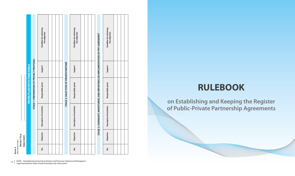**Annex 4**<br>*filled electr (filled electronically)*

|              |                                 |                                          | Deadline for achieving<br>the objective |  |                                       | Deadline for achieving<br>the objective |  |                                                                           | Deadline for achieving<br>the objective |
|--------------|---------------------------------|------------------------------------------|-----------------------------------------|--|---------------------------------------|-----------------------------------------|--|---------------------------------------------------------------------------|-----------------------------------------|
|              |                                 |                                          | Support                                 |  |                                       | Support                                 |  |                                                                           | Support                                 |
|              | <b>WORK PLAN WITH TIMETABLE</b> | STAGE 1: PREPARATION OF PROJECT PROPOSAL | Responsible party                       |  | STAGE 2: SELECTION OF PRIVATE PARTNER | Responsible party                       |  | 3: OVERSIGHT, MONITORING AND REPORTING ON IMPLEMENTATION OF PPP AGREEMENT | Responsible party                       |
|              |                                 |                                          | Description of activities               |  |                                       | Description of activities               |  |                                                                           | Description of activities               |
| PUBLIC BODY: |                                 |                                          | Objective                               |  |                                       | Objective                               |  | <b>STAGE</b>                                                              | Objective                               |
|              |                                 |                                          | غ<br>S                                  |  |                                       | $\frac{\dot{\mathsf{o}}}{\mathsf{z}}$   |  |                                                                           | $\frac{\dot{\mathsf{o}}}{\mathsf{z}}$   |

# **RULEBOOK**

**on Establishing and Keeping the Register of Public-Private Partnership Agreements** 

70 USAID - Strengthening Governing Institutions and Processes in Bosnia and Herzegovina<br>
"Legal Framework for Public-Private Partneship in the Tuzla Canton"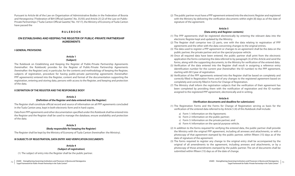(2) The public partner must have a PPP agreement entered into the electronic Register and registered with the Ministry by delivering the verification documents within eight (8) days as of the date of signature of the agreement.

# **Article 5 (Data entry and Register contents)**

- (1) The PPP agreements shall be registered electronically by entering the relevant data into the electronic Register kept and updated by the Ministry.
- (2) The Register shall comprise two (2) parts, one with the data relating to registration of PPP agreements and the other with the data concerning changes to the original entries.
- (3) The data used to register a PPP agreement or changes to an agreement shall be the data on the public partner, the private partner and on the special purpose vehicle.
- (4) Once all required data have been entered, the public partner shall print from the electronic application the forms containing the data referred to by paragraph (3) of this Article and send the forms, along with the supporting documents, to the Ministry for verification of the entered data.
- (5) Verification of the data entered into the Register shall result in assigning a reference entry identification number for the current year (hereinafter: the ID number) to the PPP agreement, starting with 001/year of registration.
- (6) Verification of the PPP agreements entered into the Register shall be based on completely and correctly filled in Registration Forms and of any changes to the registered agreement based on completely and correctly filled in Forms for Change of Registration.
- (7) The Ministry shall inform the registration subjects that the verification of their agreement has been completed by providing them with the notification of registration and the ID number assigned to the registered PPP agreement, electronically and in writing.

# **Article 6**

# **(Verification documents and deadline for submission)**

- (1) The Registration Forms and the Forms for Change of Registration serving as basis for the verification of the entered data referred to by Article 5 (4) of this Rulebook shall include:
	- a) Form 1: Information on the Agreement;
	- b) Form 2: Information on the public partner;
	- c) Form 3: Information on the private partner; and
	- d) Form 4: Information on the special purpose vehicle.
- (2) In addition to the forms required for verifying the entered data, the public partner shall provide the Ministry with the original PPP agreement, including all annexes and attachments, or with a photocopy of that agreement stamped by the public partner, within fifteen (15) days as of the date of signature of the agreement.
- (3) The forms required to register any change to the original entry shall be accompanied by the original of all amendments to the agreement, including annexes and attachments, or by a photocopy of those amendments stamped by the public partner. The set of documents shall be submitted within fifteen (15) days as of the date of change.

Pursuant to Article 66 of the Law on Organisation of Administrative Bodies in the Federation of Bosnia and Herzegovina ("Federation of BiH Official Gazette", No. 35/05) and Article 25 (2) of the Law on Public-Private Partnerships ("Tuzla Canton Official Gazette," No. 19/17), the Ministry of Economy of Tuzla Canton have passed the

# **R U L E B O O K**

# **ON ESTABLISHING AND KEEPING THE REGISTER OF PUBLIC-PRIVATE PARTNERSHIP AGREEMENTS**

# **I GENERAL PROVISIONS**

# **Article 1**

# **(Subject)**

The Rulebook on Establishing and Keeping the Register of Public-Private Partnership Agreements (hereinafter: the Rulebook) provides for the Register of Public-Private Partnership Agreements (hereinafter: the Register) and, in particular, for the contents and methodology of keeping the Register, subjects of registration, procedure for having public-private partnership agreements (hereinafter: PPP agreements) entered into the Register, content and format of the documentation supporting the registration, entering and storing data, persons with access to the Register, and keeping and protection of the data.

# **II DEFINITION OF THE REGISTER AND THE RESPONSIBLE BODY**

# **Article 2**

# **(Definition of the Register and data entered into the Register)**

The Register shall constitute official record and source of information on all PPP agreements concluded in the Tuzla Canton area, kept in both electronic form and in hard copies.

Data from PPP agreements and other documentation specified under this Rulebook shall be entered into the Register and the Register shall be used to manage the database, ensure availability and protection of the data.

# **Article 3 (Body responsible for keeping the Register)**

The Register shall be kept by the Ministry of Economy of Tuzla Canton (hereinafter: the Ministry).

# **III SUBJECTS OF REGISTRATION, DATA ENTRY AND VERIFICATION DOCUMENTS**

# **Article 4 (Subject of registration)**

(1) The subject of entry into the Register shall be the public partner.